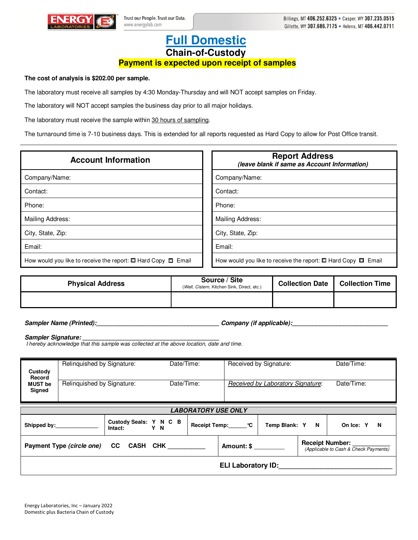

## **Full Domestic Chain-of-Custody**

## **Payment is expected upon receipt of samples**

**The cost of analysis is \$202.00 per sample.** 

The laboratory must receive all samples by 4:30 Monday-Thursday and will NOT accept samples on Friday.

The laboratory will NOT accept samples the business day prior to all major holidays.

The laboratory must receive the sample within 30 hours of sampling.

The turnaround time is 7-10 business days. This is extended for all reports requested as Hard Copy to allow for Post Office transit.

| <b>Account Information</b>                                              | <b>Report Address</b><br>(leave blank if same as Account Information)   |
|-------------------------------------------------------------------------|-------------------------------------------------------------------------|
| Company/Name:                                                           | Company/Name:                                                           |
| Contact:                                                                | Contact:                                                                |
| Phone:                                                                  | Phone:                                                                  |
| Mailing Address:                                                        | Mailing Address:                                                        |
| City, State, Zip:                                                       | City, State, Zip:                                                       |
| Email:                                                                  | Email:                                                                  |
| How would you like to receive the report: $\Box$ Hard Copy $\Box$ Email | How would you like to receive the report: $\Box$ Hard Copy $\Box$ Email |

| <b>Physical Address</b> | Source / Site<br>(Well, Cistern, Kitchen Sink, Direct, etc.) | Collection Date   Collection Time |
|-------------------------|--------------------------------------------------------------|-----------------------------------|
|                         |                                                              |                                   |

**Sampler Name (Printed):\_\_\_\_\_\_\_\_\_\_\_\_\_\_\_\_\_\_\_\_\_\_\_\_\_\_\_\_\_\_\_\_\_\_\_\_ Company (if applicable):\_\_\_\_\_\_\_\_\_\_\_\_\_\_\_\_\_\_\_\_\_\_\_\_\_\_\_\_** 

Sampler Signature:

I hereby acknowledge that this sample was collected at the above location, date and time.

| Custody                                                                                                                | Relinquished by Signature: |                                          | Date/Time: |  |                 | Received by Signature:            | Date/Time: |                |  |
|------------------------------------------------------------------------------------------------------------------------|----------------------------|------------------------------------------|------------|--|-----------------|-----------------------------------|------------|----------------|--|
| Record<br><b>MUST be</b><br>Signed                                                                                     | Relinquished by Signature: |                                          | Date/Time: |  |                 | Received by Laboratory Signature: |            | Date/Time:     |  |
| <b>LABORATORY USE ONLY</b>                                                                                             |                            |                                          |            |  |                 |                                   |            |                |  |
|                                                                                                                        |                            | Custody Seals: Y N C B<br>Intact:<br>Y N |            |  | Receipt Temp: C | Temp Blank: Y N                   |            | N<br>On Ice: Y |  |
| <b>Receipt Number:</b><br>Payment Type (circle one) CC CASH CHK<br>Amount: \$<br>(Applicable to Cash & Check Payments) |                            |                                          |            |  |                 |                                   |            |                |  |
| <b>ELI Laboratory ID:</b>                                                                                              |                            |                                          |            |  |                 |                                   |            |                |  |